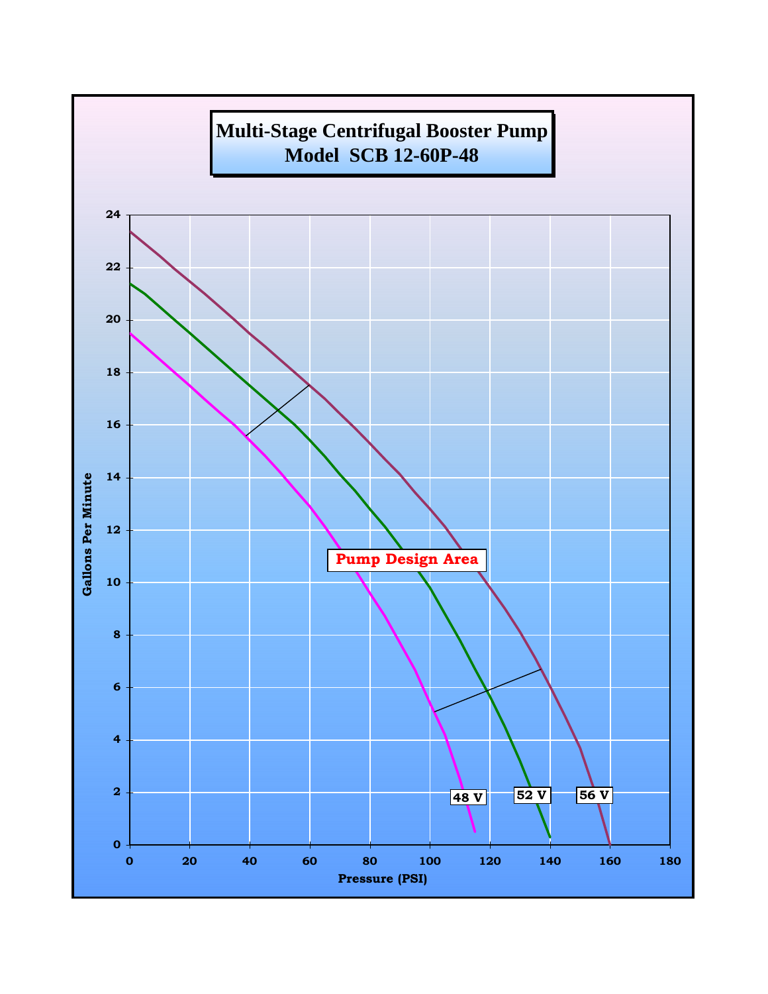